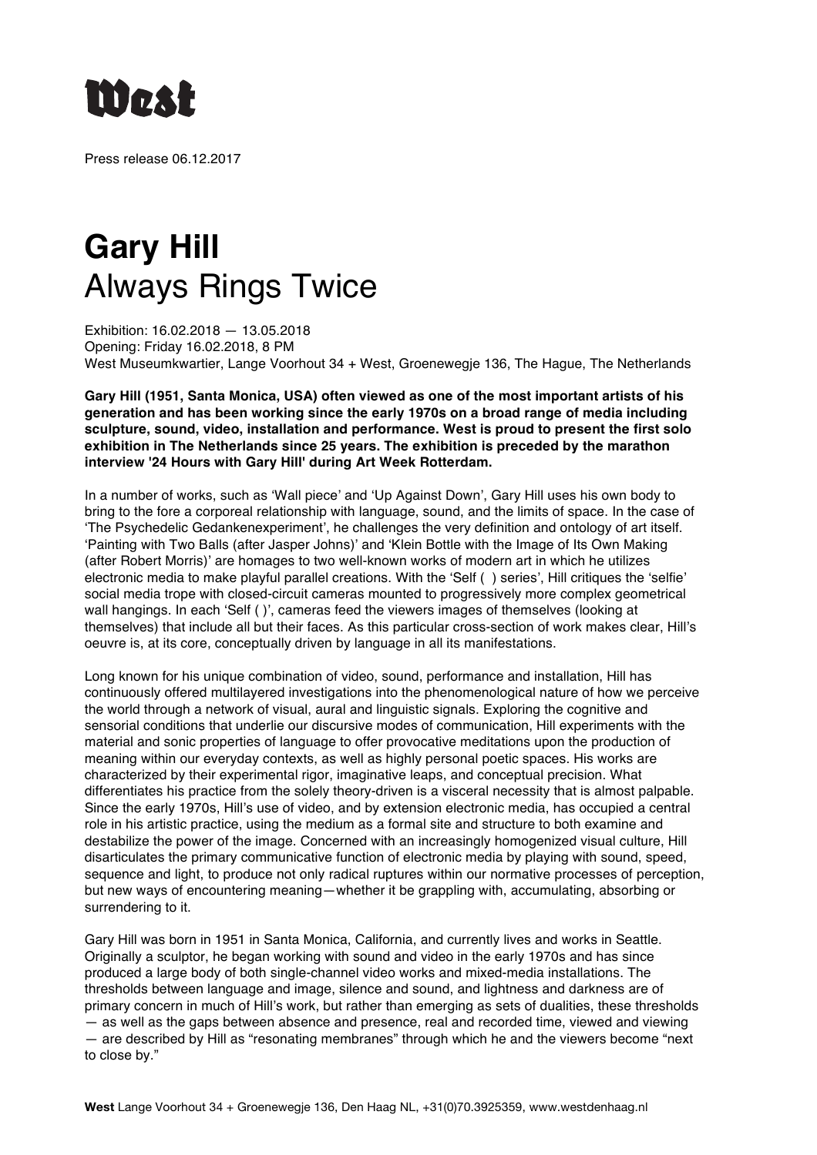

Press release 06.12.2017

## **Gary Hill** Always Rings Twice

Exhibition: 16.02.2018 — 13.05.2018 Opening: Friday 16.02.2018, 8 PM West Museumkwartier, Lange Voorhout 34 + West, Groenewegje 136, The Hague, The Netherlands

**Gary Hill (1951, Santa Monica, USA) often viewed as one of the most important artists of his generation and has been working since the early 1970s on a broad range of media including sculpture, sound, video, installation and performance. West is proud to present the first solo exhibition in The Netherlands since 25 years. The exhibition is preceded by the marathon interview '24 Hours with Gary Hill' during Art Week Rotterdam.**

In a number of works, such as 'Wall piece' and 'Up Against Down', Gary Hill uses his own body to bring to the fore a corporeal relationship with language, sound, and the limits of space. In the case of 'The Psychedelic Gedankenexperiment', he challenges the very definition and ontology of art itself. 'Painting with Two Balls (after Jasper Johns)' and 'Klein Bottle with the Image of Its Own Making (after Robert Morris)' are homages to two well-known works of modern art in which he utilizes electronic media to make playful parallel creations. With the 'Self ( ) series', Hill critiques the 'selfie' social media trope with closed-circuit cameras mounted to progressively more complex geometrical wall hangings. In each 'Self ( )', cameras feed the viewers images of themselves (looking at themselves) that include all but their faces. As this particular cross-section of work makes clear, Hill's oeuvre is, at its core, conceptually driven by language in all its manifestations.

Long known for his unique combination of video, sound, performance and installation, Hill has continuously offered multilayered investigations into the phenomenological nature of how we perceive the world through a network of visual, aural and linguistic signals. Exploring the cognitive and sensorial conditions that underlie our discursive modes of communication, Hill experiments with the material and sonic properties of language to offer provocative meditations upon the production of meaning within our everyday contexts, as well as highly personal poetic spaces. His works are characterized by their experimental rigor, imaginative leaps, and conceptual precision. What differentiates his practice from the solely theory-driven is a visceral necessity that is almost palpable. Since the early 1970s, Hill's use of video, and by extension electronic media, has occupied a central role in his artistic practice, using the medium as a formal site and structure to both examine and destabilize the power of the image. Concerned with an increasingly homogenized visual culture, Hill disarticulates the primary communicative function of electronic media by playing with sound, speed, sequence and light, to produce not only radical ruptures within our normative processes of perception, but new ways of encountering meaning—whether it be grappling with, accumulating, absorbing or surrendering to it.

Gary Hill was born in 1951 in Santa Monica, California, and currently lives and works in Seattle. Originally a sculptor, he began working with sound and video in the early 1970s and has since produced a large body of both single-channel video works and mixed-media installations. The thresholds between language and image, silence and sound, and lightness and darkness are of primary concern in much of Hill's work, but rather than emerging as sets of dualities, these thresholds — as well as the gaps between absence and presence, real and recorded time, viewed and viewing — are described by Hill as "resonating membranes" through which he and the viewers become "next to close by."